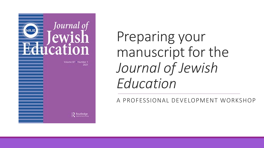

Preparing your manuscript for the *Journal of Jewish Education* 

A PROFESSIONAL DEVELOPMENT WORKSHOP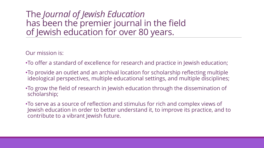### The *Journal of Jewish Education* has been the premier journal in the field of Jewish education for over 80 years.

Our mission is:

- •To offer a standard of excellence for research and practice in Jewish education;
- •To provide an outlet and an archival location for scholarship reflecting multiple ideological perspectives, multiple educational settings, and multiple disciplines;
- •To grow the field of research in Jewish education through the dissemination of scholarship;
- •To serve as a source of reflection and stimulus for rich and complex views of Jewish education in order to better understand it, to improve its practice, and to contribute to a vibrant Jewish future.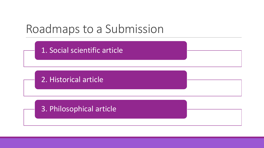## Roadmaps to a Submission

1. Social scientific article

2. Historical article

3. Philosophical article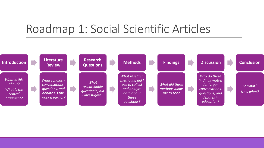### Roadmap 1: Social Scientific Articles

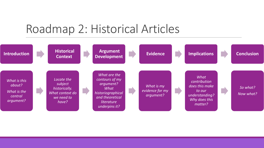### Roadmap 2: Historical Articles

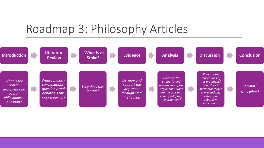## Roadmap 3: Philosophy Articles

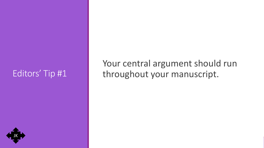### Editors' Tip #1

Your central argument should run throughout your manuscript.

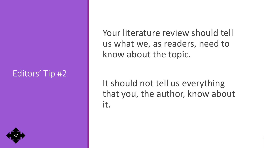### Editors' Tip #2

Your literature review should tell us what we, as readers, need to know about the topic.

It should not tell us everything that you, the author, know about it.

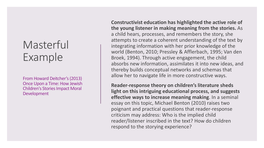### Masterful Example

From Howard Deitcher's(2013) Once Upon a Time: How Jewish Children's Stories Impact Moral Development

**Constructivist education has highlighted the active role of the young listener in making meaning from the stories.** As a child hears, processes, and remembers the story, she attempts to create a coherent understanding of the text by integrating information with her prior knowledge of the world (Benton, 2010; Pressley & Afflerbach, 1995; Van den Broek, 1994). Through active engagement, the child absorbs new information, assimilates it into new ideas, and thereby builds conceptual networks and schemas that allow her to navigate life in more constructive ways.

**Reader-response theory on children's literature sheds light on this intriguing educational process, and suggests effective ways to increase meaning making**. In a seminal essay on this topic, Michael Benton (2010) raises two poignant and practical questions that reader-response criticism may address: Who is the implied child reader/listener inscribed in the text? How do children respond to the storying experience?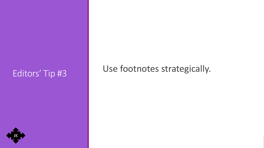# Editors' Tip #3 Use footnotes strategically.

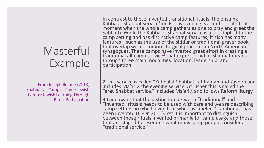### Masterful Example

From Joseph Reimer (2018) Shabbat-at-Camp at Three Jewish Camps: Jewish Learning Through Ritual Participation

In contrast to these invented transitional rituals, the ensuing Kabbalat Shabbat service**<sup>2</sup>** on Friday evening is a traditional ritual moment when the whole camp gathers as one to pray and greet the Sabbath. While the Kabbalat Shabbat service is also adapted to the camp setting and has distinctive camp features, it also has many features—such as the use of the siddur or traditional prayer book—<br>that overlap with common liturgical practices in North American synagogues. These camps have invested great effort in creating a traditional all-camp service**[3](https://www.tandfonline.com/doi/full/10.1080/15244113.2018.1522578)** that expresses what Shabbat means through three main modalities: location, leadership, and participation.

**2** This service is called "Kabbalat Shabbat" at Ramah and Yavneh and includes Ma'ariv, the evening service. At Eisner this is called the "erev Shabbat service," includes Ma'ariv, and follows Reform liturgy.

**3** I am aware that the distinction between "traditional" and "invented" rituals needs to be used with care and we are describing camp settings in which even that which is labeled "traditional" has been invented (El-Or, 2011). Yet it is important to distinguish between those rituals invented primarily for camp usage and those that are staged to resemble what many camp people consider a "traditional service."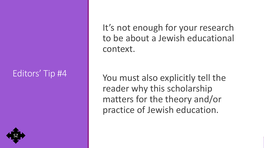### Editors' Tip #4

SZ

It's not enough for your research to be about a Jewish educational context.

You must also explicitly tell the reader why this scholarship matters for the theory and/or practice of Jewish education.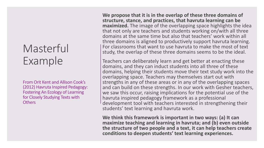### Masterful Example

From Orit Kent and Allison Cook's (2012) Havruta Inspired Pedagogy: Fostering An Ecology of Learning for Closely Studying Texts with **Others** 

**We propose that it is in the overlap of these three domains of structure, stance, and practices, that havruta learning can be maximized.** The image of the overlapping space highlights the idea that not only are teachers and students working on/with all three domains at the same time but also that teachers' work within all three domains is aligned to productively support havruta learning. For classrooms that want to use havruta to make the most of text study, the overlap of these three domains seems to be the ideal.

Teachers can deliberately learn and get better at enacting these domains, and they can induct students into all three of these domains, helping their students move their text study work into the overlapping space. Teachers may themselves start out with strengths in any of these areas or in any of the overlapping spaces and can build on these strengths. In our work with Gesher teachers, we saw this occur, raising implications for the potential use of the havruta inspired pedagogy framework as a professional development tool with teachers interested in strengthening their students' text learning and havruta work.

**We think this framework is important in two ways: (a) It can maximize teaching and learning in havruta; and (b) even outside the structure of two people and a text, it can help teachers create conditions to deepen students' text learning experiences.**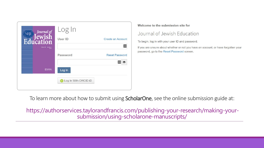| Journal of<br><b>ewish</b> | Log In                        |                          |
|----------------------------|-------------------------------|--------------------------|
| cation                     | <b>User ID</b>                | <b>Create an Account</b> |
| Volume 84 Number 2<br>2018 |                               |                          |
|                            | Password                      | <b>Reset Password</b>    |
|                            |                               |                          |
| R Routledge                | Log In                        |                          |
|                            | <b>D</b> Log In With ORCID iD |                          |
|                            |                               |                          |

### Welcome to the submission site for

### Journal of Jewish Education

To begin, log in with your user ID and password.

If you are unsure about whether or not you have an account, or have forgotten your password, go to the Reset Password screen.

To learn more about how to submit using **ScholarOne**, see the online submission guide at:

https://authorservices.taylorandfrancis.com/publishing-your-research/making-yoursubmission/using-scholarone-manuscripts/